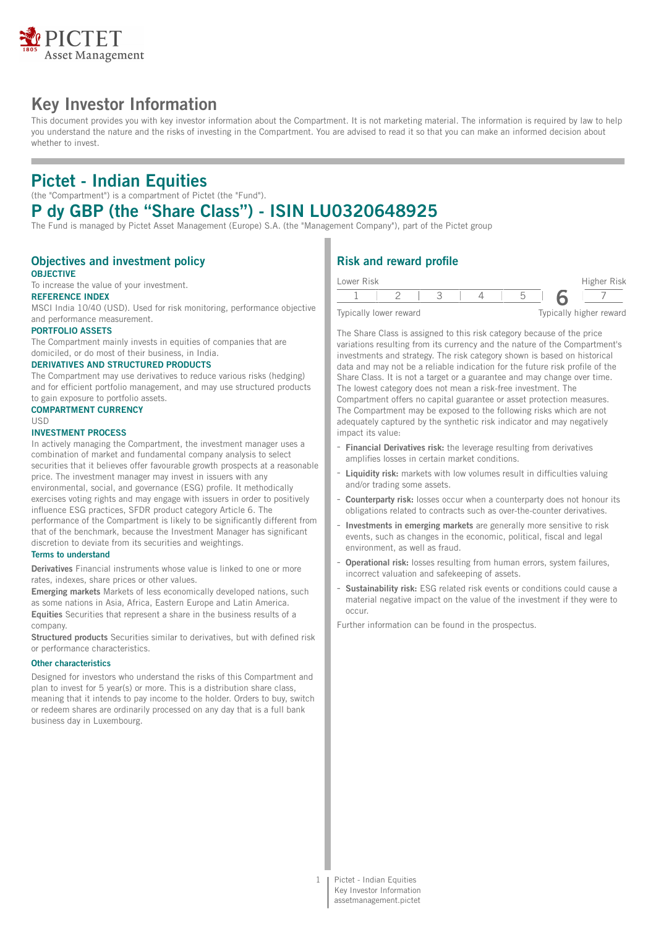

# **Key Investor Information**

This document provides you with key investor information about the Compartment. It is not marketing material. The information is required by law to help you understand the nature and the risks of investing in the Compartment. You are advised to read it so that you can make an informed decision about whether to invest.

# **Pictet - Indian Equities**

(the "Compartment") is a compartment of Pictet (the "Fund").

## **P dy GBP (the "Share Class") - ISIN LU0320648925**

The Fund is managed by Pictet Asset Management (Europe) S.A. (the "Management Company"), part of the Pictet group

### **Objectives and investment policy OBJECTIVE**

To increase the value of your investment.

## **REFERENCE INDEX**

MSCI India 10/40 (USD). Used for risk monitoring, performance objective and performance measurement.

#### **PORTFOLIO ASSETS**

The Compartment mainly invests in equities of companies that are domiciled, or do most of their business, in India.

### **DERIVATIVES AND STRUCTURED PRODUCTS**

The Compartment may use derivatives to reduce various risks (hedging) and for efficient portfolio management, and may use structured products to gain exposure to portfolio assets.

## **COMPARTMENT CURRENCY**

#### USD

#### **INVESTMENT PROCESS**

In actively managing the Compartment, the investment manager uses a combination of market and fundamental company analysis to select securities that it believes offer favourable growth prospects at a reasonable price. The investment manager may invest in issuers with any environmental, social, and governance (ESG) profile. It methodically exercises voting rights and may engage with issuers in order to positively influence ESG practices, SFDR product category Article 6. The performance of the Compartment is likely to be significantly different from that of the benchmark, because the Investment Manager has significant discretion to deviate from its securities and weightings.

#### **Terms to understand**

**Derivatives** Financial instruments whose value is linked to one or more rates, indexes, share prices or other values.

**Emerging markets** Markets of less economically developed nations, such as some nations in Asia, Africa, Eastern Europe and Latin America. **Equities** Securities that represent a share in the business results of a company.

**Structured products** Securities similar to derivatives, but with defined risk or performance characteristics.

#### **Other characteristics**

Designed for investors who understand the risks of this Compartment and plan to invest for 5 year(s) or more. This is a distribution share class, meaning that it intends to pay income to the holder. Orders to buy, switch or redeem shares are ordinarily processed on any day that is a full bank business day in Luxembourg.

## **Risk and reward profile**

| Lower Risk             |  |  | Higher Risk             |
|------------------------|--|--|-------------------------|
|                        |  |  |                         |
| Typically lower reward |  |  | Typically higher reward |

The Share Class is assigned to this risk category because of the price variations resulting from its currency and the nature of the Compartment's investments and strategy. The risk category shown is based on historical data and may not be a reliable indication for the future risk profile of the Share Class. It is not a target or a guarantee and may change over time. The lowest category does not mean a risk-free investment. The Compartment offers no capital guarantee or asset protection measures. The Compartment may be exposed to the following risks which are not adequately captured by the synthetic risk indicator and may negatively impact its value:

- **Financial Derivatives risk:** the leverage resulting from derivatives amplifies losses in certain market conditions.
- **Liquidity risk:** markets with low volumes result in difficulties valuing and/or trading some assets.
- **Counterparty risk:** losses occur when a counterparty does not honour its obligations related to contracts such as over-the-counter derivatives.
- **Investments in emerging markets** are generally more sensitive to risk events, such as changes in the economic, political, fiscal and legal environment, as well as fraud.
- **Operational risk:** losses resulting from human errors, system failures, incorrect valuation and safekeeping of assets.
- Sustainability risk: ESG related risk events or conditions could cause a material negative impact on the value of the investment if they were to occur.

Further information can be found in the prospectus.